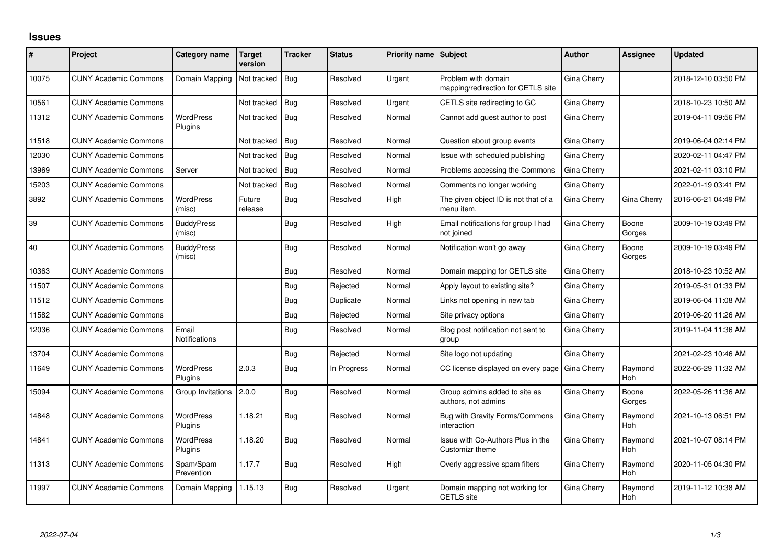## **Issues**

| #     | Project                      | Category name                 | <b>Target</b><br>version | <b>Tracker</b> | <b>Status</b> | <b>Priority name Subject</b> |                                                           | <b>Author</b> | <b>Assignee</b>       | Updated             |
|-------|------------------------------|-------------------------------|--------------------------|----------------|---------------|------------------------------|-----------------------------------------------------------|---------------|-----------------------|---------------------|
| 10075 | <b>CUNY Academic Commons</b> | Domain Mapping                | Not tracked              | Bug            | Resolved      | Urgent                       | Problem with domain<br>mapping/redirection for CETLS site | Gina Cherry   |                       | 2018-12-10 03:50 PM |
| 10561 | <b>CUNY Academic Commons</b> |                               | Not tracked              | Bug            | Resolved      | Urgent                       | CETLS site redirecting to GC                              | Gina Cherry   |                       | 2018-10-23 10:50 AM |
| 11312 | <b>CUNY Academic Commons</b> | <b>WordPress</b><br>Plugins   | Not tracked              | Bug            | Resolved      | Normal                       | Cannot add guest author to post                           | Gina Cherry   |                       | 2019-04-11 09:56 PM |
| 11518 | <b>CUNY Academic Commons</b> |                               | Not tracked              | Bug            | Resolved      | Normal                       | Question about group events                               | Gina Cherry   |                       | 2019-06-04 02:14 PM |
| 12030 | <b>CUNY Academic Commons</b> |                               | Not tracked              | Bug            | Resolved      | Normal                       | Issue with scheduled publishing                           | Gina Cherry   |                       | 2020-02-11 04:47 PM |
| 13969 | <b>CUNY Academic Commons</b> | Server                        | Not tracked              | Bug            | Resolved      | Normal                       | Problems accessing the Commons                            | Gina Cherry   |                       | 2021-02-11 03:10 PM |
| 15203 | <b>CUNY Academic Commons</b> |                               | Not tracked              | Bug            | Resolved      | Normal                       | Comments no longer working                                | Gina Cherry   |                       | 2022-01-19 03:41 PM |
| 3892  | <b>CUNY Academic Commons</b> | <b>WordPress</b><br>(misc)    | Future<br>release        | <b>Bug</b>     | Resolved      | High                         | The given object ID is not that of a<br>menu item.        | Gina Cherry   | Gina Cherry           | 2016-06-21 04:49 PM |
| 39    | <b>CUNY Academic Commons</b> | <b>BuddyPress</b><br>(misc)   |                          | Bug            | Resolved      | High                         | Email notifications for group I had<br>not joined         | Gina Cherry   | Boone<br>Gorges       | 2009-10-19 03:49 PM |
| 40    | <b>CUNY Academic Commons</b> | <b>BuddyPress</b><br>(misc)   |                          | Bug            | Resolved      | Normal                       | Notification won't go away                                | Gina Cherry   | Boone<br>Gorges       | 2009-10-19 03:49 PM |
| 10363 | <b>CUNY Academic Commons</b> |                               |                          | Bug            | Resolved      | Normal                       | Domain mapping for CETLS site                             | Gina Cherry   |                       | 2018-10-23 10:52 AM |
| 11507 | <b>CUNY Academic Commons</b> |                               |                          | <b>Bug</b>     | Rejected      | Normal                       | Apply layout to existing site?                            | Gina Cherry   |                       | 2019-05-31 01:33 PM |
| 11512 | <b>CUNY Academic Commons</b> |                               |                          | Bug            | Duplicate     | Normal                       | Links not opening in new tab                              | Gina Cherry   |                       | 2019-06-04 11:08 AM |
| 11582 | <b>CUNY Academic Commons</b> |                               |                          | <b>Bug</b>     | Rejected      | Normal                       | Site privacy options                                      | Gina Cherry   |                       | 2019-06-20 11:26 AM |
| 12036 | <b>CUNY Academic Commons</b> | Email<br><b>Notifications</b> |                          | Bug            | Resolved      | Normal                       | Blog post notification not sent to<br>group               | Gina Cherry   |                       | 2019-11-04 11:36 AM |
| 13704 | <b>CUNY Academic Commons</b> |                               |                          | Bug            | Rejected      | Normal                       | Site logo not updating                                    | Gina Cherry   |                       | 2021-02-23 10:46 AM |
| 11649 | <b>CUNY Academic Commons</b> | <b>WordPress</b><br>Plugins   | 2.0.3                    | Bug            | In Progress   | Normal                       | CC license displayed on every page                        | Gina Cherry   | Raymond<br><b>Hoh</b> | 2022-06-29 11:32 AM |
| 15094 | <b>CUNY Academic Commons</b> | Group Invitations             | 2.0.0                    | Bug            | Resolved      | Normal                       | Group admins added to site as<br>authors, not admins      | Gina Cherry   | Boone<br>Gorges       | 2022-05-26 11:36 AM |
| 14848 | <b>CUNY Academic Commons</b> | <b>WordPress</b><br>Plugins   | 1.18.21                  | <b>Bug</b>     | Resolved      | Normal                       | Bug with Gravity Forms/Commons<br>interaction             | Gina Cherry   | Raymond<br>Hoh        | 2021-10-13 06:51 PM |
| 14841 | <b>CUNY Academic Commons</b> | <b>WordPress</b><br>Plugins   | 1.18.20                  | Bug            | Resolved      | Normal                       | Issue with Co-Authors Plus in the<br>Customizr theme      | Gina Cherry   | Raymond<br>Hoh        | 2021-10-07 08:14 PM |
| 11313 | <b>CUNY Academic Commons</b> | Spam/Spam<br>Prevention       | 1.17.7                   | Bug            | Resolved      | High                         | Overly aggressive spam filters                            | Gina Cherry   | Raymond<br>Hoh        | 2020-11-05 04:30 PM |
| 11997 | <b>CUNY Academic Commons</b> | Domain Mapping                | 1.15.13                  | Bug            | Resolved      | Urgent                       | Domain mapping not working for<br>CETLS site              | Gina Cherry   | Raymond<br>Hoh        | 2019-11-12 10:38 AM |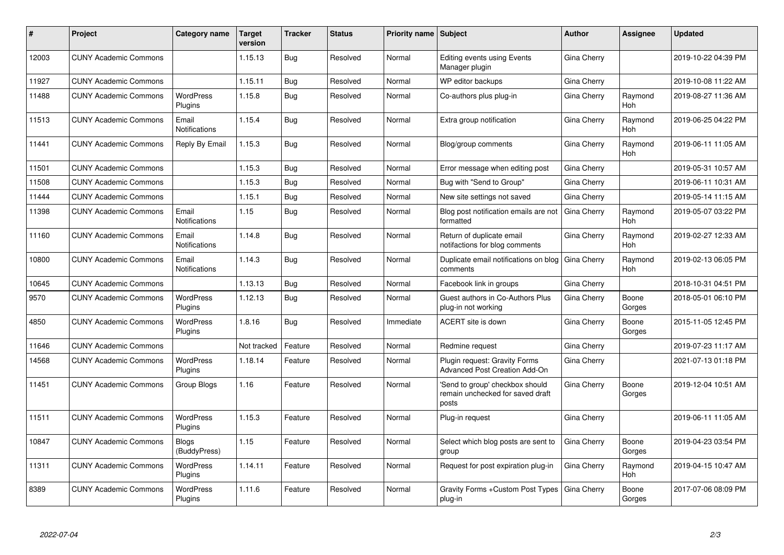| #     | Project                      | Category name                 | <b>Target</b><br>version | <b>Tracker</b> | <b>Status</b> | <b>Priority name Subject</b> |                                                                              | Author      | Assignee        | <b>Updated</b>      |
|-------|------------------------------|-------------------------------|--------------------------|----------------|---------------|------------------------------|------------------------------------------------------------------------------|-------------|-----------------|---------------------|
| 12003 | <b>CUNY Academic Commons</b> |                               | 1.15.13                  | Bug            | Resolved      | Normal                       | <b>Editing events using Events</b><br>Manager plugin                         | Gina Cherry |                 | 2019-10-22 04:39 PM |
| 11927 | <b>CUNY Academic Commons</b> |                               | 1.15.11                  | Bug            | Resolved      | Normal                       | WP editor backups                                                            | Gina Cherry |                 | 2019-10-08 11:22 AM |
| 11488 | <b>CUNY Academic Commons</b> | <b>WordPress</b><br>Plugins   | 1.15.8                   | Bug            | Resolved      | Normal                       | Co-authors plus plug-in                                                      | Gina Cherry | Raymond<br>Hoh  | 2019-08-27 11:36 AM |
| 11513 | <b>CUNY Academic Commons</b> | Email<br><b>Notifications</b> | 1.15.4                   | Bug            | Resolved      | Normal                       | Extra group notification                                                     | Gina Cherry | Raymond<br>Hoh  | 2019-06-25 04:22 PM |
| 11441 | <b>CUNY Academic Commons</b> | Reply By Email                | 1.15.3                   | Bug            | Resolved      | Normal                       | Blog/group comments                                                          | Gina Cherry | Raymond<br>Hoh  | 2019-06-11 11:05 AM |
| 11501 | <b>CUNY Academic Commons</b> |                               | 1.15.3                   | <b>Bug</b>     | Resolved      | Normal                       | Error message when editing post                                              | Gina Cherry |                 | 2019-05-31 10:57 AM |
| 11508 | <b>CUNY Academic Commons</b> |                               | 1.15.3                   | Bug            | Resolved      | Normal                       | Bug with "Send to Group"                                                     | Gina Cherry |                 | 2019-06-11 10:31 AM |
| 11444 | <b>CUNY Academic Commons</b> |                               | 1.15.1                   | Bug            | Resolved      | Normal                       | New site settings not saved                                                  | Gina Cherry |                 | 2019-05-14 11:15 AM |
| 11398 | <b>CUNY Academic Commons</b> | Email<br><b>Notifications</b> | 1.15                     | Bug            | Resolved      | Normal                       | Blog post notification emails are not<br>formatted                           | Gina Cherry | Raymond<br>Hoh  | 2019-05-07 03:22 PM |
| 11160 | <b>CUNY Academic Commons</b> | Email<br>Notifications        | 1.14.8                   | Bug            | Resolved      | Normal                       | Return of duplicate email<br>notifactions for blog comments                  | Gina Cherry | Raymond<br>Hoh  | 2019-02-27 12:33 AM |
| 10800 | <b>CUNY Academic Commons</b> | Email<br>Notifications        | 1.14.3                   | Bug            | Resolved      | Normal                       | Duplicate email notifications on blog<br>comments                            | Gina Cherry | Raymond<br>Hoh  | 2019-02-13 06:05 PM |
| 10645 | <b>CUNY Academic Commons</b> |                               | 1.13.13                  | Bug            | Resolved      | Normal                       | Facebook link in groups                                                      | Gina Cherry |                 | 2018-10-31 04:51 PM |
| 9570  | <b>CUNY Academic Commons</b> | <b>WordPress</b><br>Plugins   | 1.12.13                  | Bug            | Resolved      | Normal                       | Guest authors in Co-Authors Plus<br>plug-in not working                      | Gina Cherry | Boone<br>Gorges | 2018-05-01 06:10 PM |
| 4850  | <b>CUNY Academic Commons</b> | <b>WordPress</b><br>Plugins   | 1.8.16                   | Bug            | Resolved      | Immediate                    | ACERT site is down                                                           | Gina Cherry | Boone<br>Gorges | 2015-11-05 12:45 PM |
| 11646 | <b>CUNY Academic Commons</b> |                               | Not tracked              | Feature        | Resolved      | Normal                       | Redmine request                                                              | Gina Cherry |                 | 2019-07-23 11:17 AM |
| 14568 | <b>CUNY Academic Commons</b> | <b>WordPress</b><br>Plugins   | 1.18.14                  | Feature        | Resolved      | Normal                       | Plugin request: Gravity Forms<br><b>Advanced Post Creation Add-On</b>        | Gina Cherry |                 | 2021-07-13 01:18 PM |
| 11451 | <b>CUNY Academic Commons</b> | Group Blogs                   | 1.16                     | Feature        | Resolved      | Normal                       | 'Send to group' checkbox should<br>remain unchecked for saved draft<br>posts | Gina Cherry | Boone<br>Gorges | 2019-12-04 10:51 AM |
| 11511 | <b>CUNY Academic Commons</b> | <b>WordPress</b><br>Plugins   | 1.15.3                   | Feature        | Resolved      | Normal                       | Plug-in request                                                              | Gina Cherry |                 | 2019-06-11 11:05 AM |
| 10847 | <b>CUNY Academic Commons</b> | <b>Blogs</b><br>(BuddyPress)  | 1.15                     | Feature        | Resolved      | Normal                       | Select which blog posts are sent to<br>group                                 | Gina Cherry | Boone<br>Gorges | 2019-04-23 03:54 PM |
| 11311 | <b>CUNY Academic Commons</b> | <b>WordPress</b><br>Plugins   | 1.14.11                  | Feature        | Resolved      | Normal                       | Request for post expiration plug-in                                          | Gina Cherry | Raymond<br>Hoh  | 2019-04-15 10:47 AM |
| 8389  | <b>CUNY Academic Commons</b> | <b>WordPress</b><br>Plugins   | 1.11.6                   | Feature        | Resolved      | Normal                       | Gravity Forms + Custom Post Types<br>plug-in                                 | Gina Cherry | Boone<br>Gorges | 2017-07-06 08:09 PM |